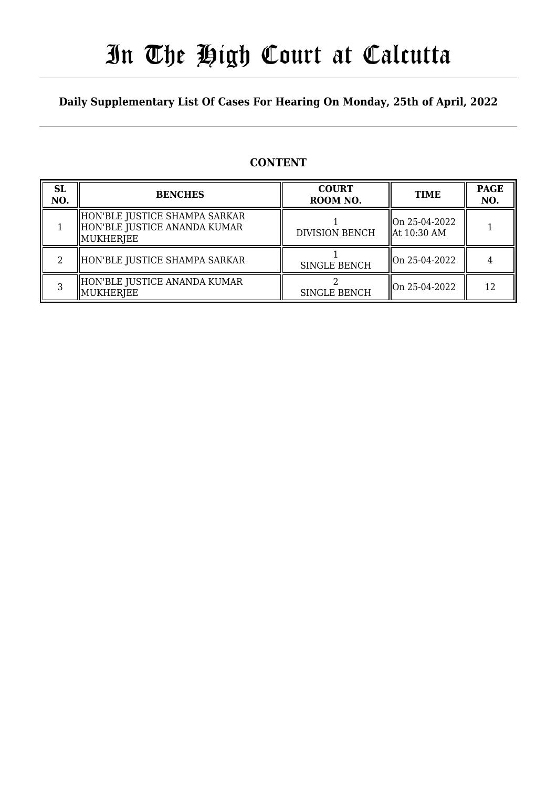## In The High Court at Calcutta

### **Daily Supplementary List Of Cases For Hearing On Monday, 25th of April, 2022**

## **CONTENT**

| <b>SL</b><br>NO. | <b>BENCHES</b>                                                               | <b>COURT</b><br>ROOM NO. | <b>TIME</b>                               | <b>PAGE</b><br>NO. |
|------------------|------------------------------------------------------------------------------|--------------------------|-------------------------------------------|--------------------|
|                  | HON'BLE JUSTICE SHAMPA SARKAR<br>HON'BLE JUSTICE ANANDA KUMAR<br>  MUKHERJEE | <b>DIVISION BENCH</b>    | lon 25-04-2022<br>$\parallel$ At 10:30 AM |                    |
|                  | HON'BLE JUSTICE SHAMPA SARKAR                                                | <b>SINGLE BENCH</b>      | On 25-04-2022                             |                    |
|                  | HON'BLE JUSTICE ANANDA KUMAR<br>MUKHERJEE                                    | <b>SINGLE BENCH</b>      | On 25-04-2022                             | 12                 |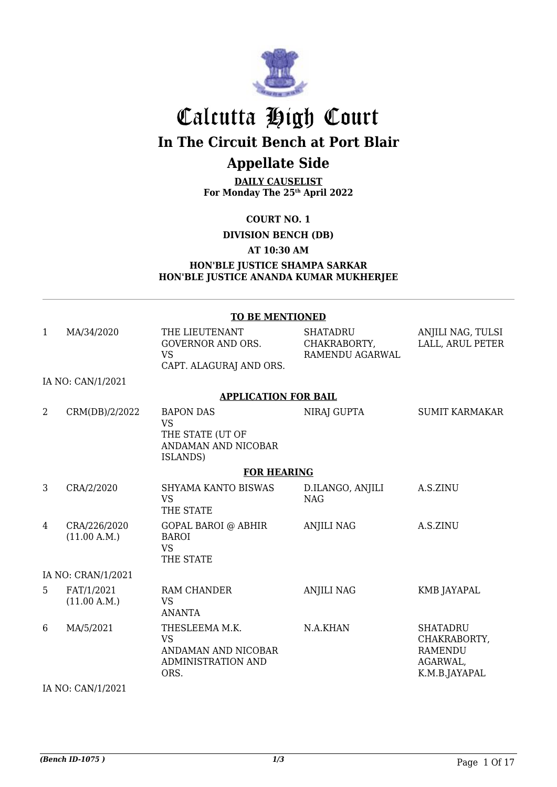

## Calcutta High Court **In The Circuit Bench at Port Blair**

## **Appellate Side**

**DAILY CAUSELIST For Monday The 25th April 2022**

**COURT NO. 1**

**DIVISION BENCH (DB)**

#### **AT 10:30 AM**

#### **HON'BLE JUSTICE SHAMPA SARKAR HON'BLE JUSTICE ANANDA KUMAR MUKHERJEE**

|              |                              | <b>TO BE MENTIONED</b>                                                                  |                                                    |                                                                                |
|--------------|------------------------------|-----------------------------------------------------------------------------------------|----------------------------------------------------|--------------------------------------------------------------------------------|
| $\mathbf{1}$ | MA/34/2020                   | THE LIEUTENANT<br><b>GOVERNOR AND ORS.</b><br><b>VS</b><br>CAPT. ALAGURAJ AND ORS.      | <b>SHATADRU</b><br>CHAKRABORTY,<br>RAMENDU AGARWAL | ANJILI NAG, TULSI<br>LALL, ARUL PETER                                          |
|              | IA NO: CAN/1/2021            |                                                                                         |                                                    |                                                                                |
|              |                              | <b>APPLICATION FOR BAIL</b>                                                             |                                                    |                                                                                |
| 2            | CRM(DB)/2/2022               | <b>BAPON DAS</b><br><b>VS</b><br>THE STATE (UT OF<br>ANDAMAN AND NICOBAR<br>ISLANDS)    | NIRAJ GUPTA                                        | <b>SUMIT KARMAKAR</b>                                                          |
|              |                              | <b>FOR HEARING</b>                                                                      |                                                    |                                                                                |
| 3            | CRA/2/2020                   | <b>SHYAMA KANTO BISWAS</b><br><b>VS</b><br>THE STATE                                    | D.ILANGO, ANJILI<br><b>NAG</b>                     | A.S.ZINU                                                                       |
| 4            | CRA/226/2020<br>(11.00 A.M.) | <b>GOPAL BAROI @ ABHIR</b><br><b>BAROI</b><br><b>VS</b><br>THE STATE                    | <b>ANJILI NAG</b>                                  | A.S.ZINU                                                                       |
|              | IA NO: CRAN/1/2021           |                                                                                         |                                                    |                                                                                |
| 5            | FAT/1/2021<br>(11.00 A.M.)   | <b>RAM CHANDER</b><br><b>VS</b><br><b>ANANTA</b>                                        | <b>ANJILI NAG</b>                                  | KMB JAYAPAL                                                                    |
| 6            | MA/5/2021                    | THESLEEMA M.K.<br><b>VS</b><br>ANDAMAN AND NICOBAR<br><b>ADMINISTRATION AND</b><br>ORS. | N.A.KHAN                                           | <b>SHATADRU</b><br>CHAKRABORTY,<br><b>RAMENDU</b><br>AGARWAL,<br>K.M.B.JAYAPAL |

IA NO: CAN/1/2021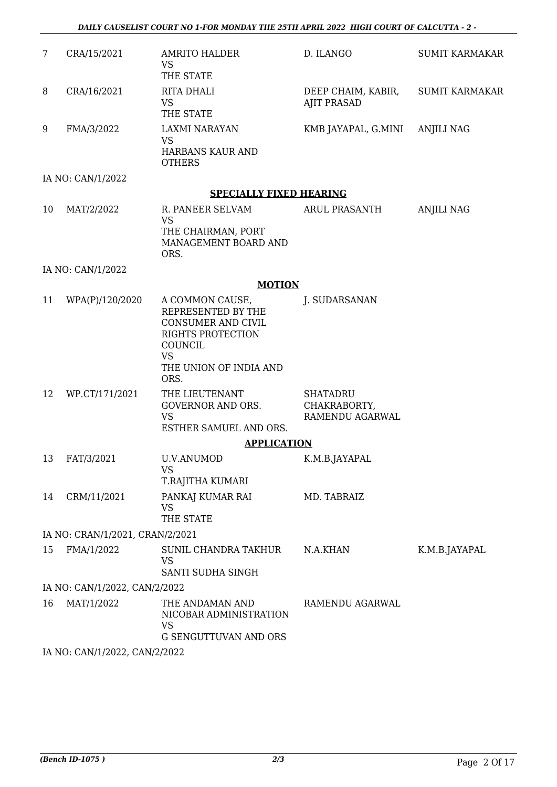| $\overline{7}$ | CRA/15/2021                     | <b>AMRITO HALDER</b><br><b>VS</b>                                                                                                                        | D. ILANGO                                          | <b>SUMIT KARMAKAR</b> |
|----------------|---------------------------------|----------------------------------------------------------------------------------------------------------------------------------------------------------|----------------------------------------------------|-----------------------|
|                |                                 | THE STATE                                                                                                                                                |                                                    |                       |
| 8              | CRA/16/2021                     | RITA DHALI                                                                                                                                               | DEEP CHAIM, KABIR,                                 | <b>SUMIT KARMAKAR</b> |
|                |                                 | <b>VS</b><br>THE STATE                                                                                                                                   | <b>AJIT PRASAD</b>                                 |                       |
| 9              | FMA/3/2022                      | <b>LAXMI NARAYAN</b><br><b>VS</b>                                                                                                                        | KMB JAYAPAL, G.MINI                                | ANJILI NAG            |
|                |                                 | HARBANS KAUR AND<br><b>OTHERS</b>                                                                                                                        |                                                    |                       |
|                | IA NO: CAN/1/2022               |                                                                                                                                                          |                                                    |                       |
|                |                                 | <b>SPECIALLY FIXED HEARING</b>                                                                                                                           |                                                    |                       |
| 10             | MAT/2/2022                      | R. PANEER SELVAM<br><b>VS</b><br>THE CHAIRMAN, PORT<br>MANAGEMENT BOARD AND<br>ORS.                                                                      | <b>ARUL PRASANTH</b>                               | <b>ANJILI NAG</b>     |
|                | IA NO: CAN/1/2022               |                                                                                                                                                          |                                                    |                       |
|                |                                 | <b>MOTION</b>                                                                                                                                            |                                                    |                       |
| 11             | WPA(P)/120/2020                 | A COMMON CAUSE,<br>REPRESENTED BY THE<br><b>CONSUMER AND CIVIL</b><br><b>RIGHTS PROTECTION</b><br>COUNCIL<br><b>VS</b><br>THE UNION OF INDIA AND<br>ORS. | J. SUDARSANAN                                      |                       |
| 12             | WP.CT/171/2021                  | THE LIEUTENANT<br><b>GOVERNOR AND ORS.</b><br><b>VS</b><br>ESTHER SAMUEL AND ORS.                                                                        | <b>SHATADRU</b><br>CHAKRABORTY,<br>RAMENDU AGARWAL |                       |
|                |                                 | <b>APPLICATION</b>                                                                                                                                       |                                                    |                       |
| 13             | FAT/3/2021                      | U.V.ANUMOD<br><b>VS</b><br>T.RAJITHA KUMARI                                                                                                              | K.M.B.JAYAPAL                                      |                       |
| 14             | CRM/11/2021                     | PANKAJ KUMAR RAI<br><b>VS</b><br>THE STATE                                                                                                               | MD. TABRAIZ                                        |                       |
|                | IA NO: CRAN/1/2021, CRAN/2/2021 |                                                                                                                                                          |                                                    |                       |
| 15             | FMA/1/2022                      | SUNIL CHANDRA TAKHUR<br><b>VS</b><br>SANTI SUDHA SINGH                                                                                                   | N.A.KHAN                                           | K.M.B.JAYAPAL         |
|                | IA NO: CAN/1/2022, CAN/2/2022   |                                                                                                                                                          |                                                    |                       |
| 16             | MAT/1/2022                      | THE ANDAMAN AND<br>NICOBAR ADMINISTRATION<br>VS<br><b>G SENGUTTUVAN AND ORS</b>                                                                          | RAMENDU AGARWAL                                    |                       |
|                | IA NO. CANILIZONO CANILIZONO    |                                                                                                                                                          |                                                    |                       |

IA NO: CAN/1/2022, CAN/2/2022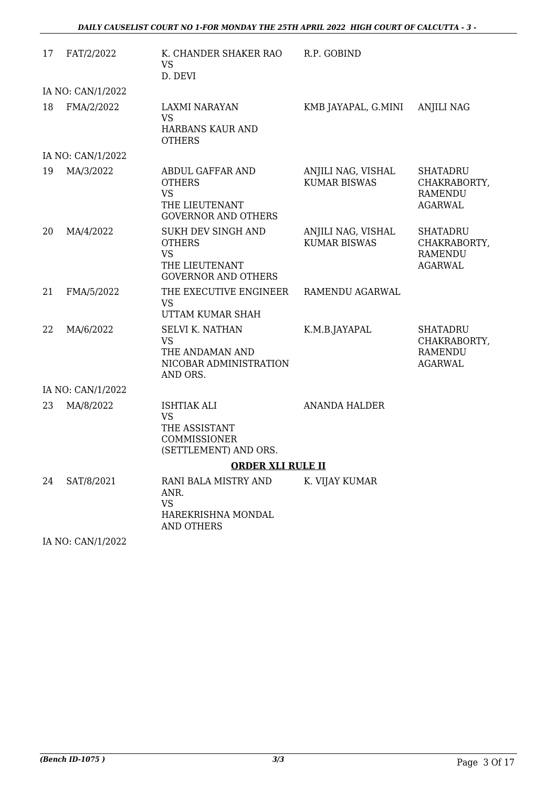| 17 | FAT/2/2022                              | K. CHANDER SHAKER RAO<br><b>VS</b><br>D. DEVI                                                                                | R.P. GOBIND                               |                                                                     |
|----|-----------------------------------------|------------------------------------------------------------------------------------------------------------------------------|-------------------------------------------|---------------------------------------------------------------------|
|    | IA NO: CAN/1/2022                       |                                                                                                                              |                                           |                                                                     |
| 18 | FMA/2/2022                              | LAXMI NARAYAN<br><b>VS</b><br>HARBANS KAUR AND<br><b>OTHERS</b>                                                              | KMB JAYAPAL, G.MINI                       | <b>ANJILI NAG</b>                                                   |
|    | IA NO: CAN/1/2022                       |                                                                                                                              |                                           |                                                                     |
| 19 | MA/3/2022                               | ABDUL GAFFAR AND<br><b>OTHERS</b><br><b>VS</b><br>THE LIEUTENANT<br><b>GOVERNOR AND OTHERS</b>                               | ANJILI NAG, VISHAL<br><b>KUMAR BISWAS</b> | <b>SHATADRU</b><br>CHAKRABORTY,<br><b>RAMENDU</b><br><b>AGARWAL</b> |
| 20 | MA/4/2022                               | SUKH DEV SINGH AND<br><b>OTHERS</b><br><b>VS</b><br>THE LIEUTENANT<br><b>GOVERNOR AND OTHERS</b>                             | ANJILI NAG, VISHAL<br><b>KUMAR BISWAS</b> | <b>SHATADRU</b><br>CHAKRABORTY,<br><b>RAMENDU</b><br><b>AGARWAL</b> |
| 21 | FMA/5/2022                              | THE EXECUTIVE ENGINEER<br><b>VS</b><br>UTTAM KUMAR SHAH                                                                      | RAMENDU AGARWAL                           |                                                                     |
| 22 | MA/6/2022                               | <b>SELVI K. NATHAN</b><br><b>VS</b><br>THE ANDAMAN AND<br>NICOBAR ADMINISTRATION<br>AND ORS.                                 | K.M.B.JAYAPAL                             | <b>SHATADRU</b><br>CHAKRABORTY,<br><b>RAMENDU</b><br><b>AGARWAL</b> |
|    | IA NO: CAN/1/2022                       |                                                                                                                              |                                           |                                                                     |
| 23 | MA/8/2022                               | <b>ISHTIAK ALI</b><br><b>VS</b><br>THE ASSISTANT<br><b>COMMISSIONER</b><br>(SETTLEMENT) AND ORS.<br><b>ORDER XLI RULE II</b> | <b>ANANDA HALDER</b>                      |                                                                     |
| 24 |                                         | RANI BALA MISTRY AND                                                                                                         |                                           |                                                                     |
|    | SAT/8/2021<br>$I_A N_O$ $C_A N11110000$ | ANR.<br><b>VS</b><br>HAREKRISHNA MONDAL<br><b>AND OTHERS</b>                                                                 | K. VIJAY KUMAR                            |                                                                     |

IA NO: CAN/1/2022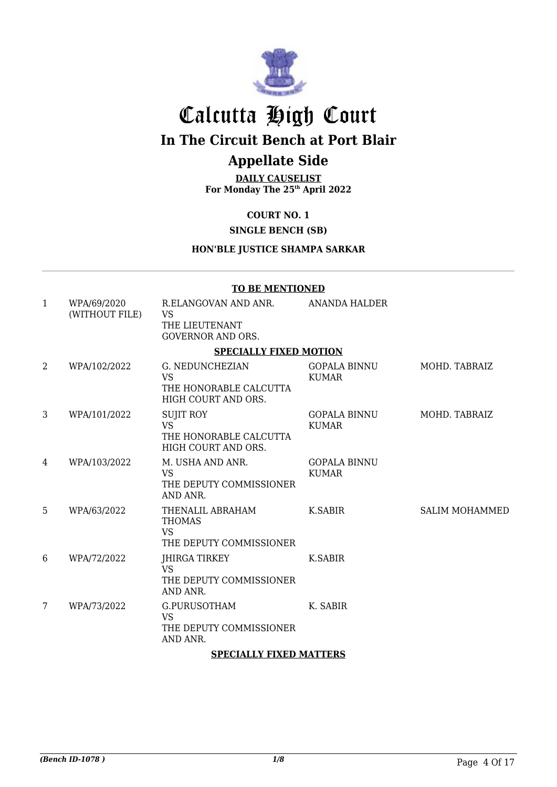

## Calcutta High Court

**In The Circuit Bench at Port Blair**

## **Appellate Side**

**DAILY CAUSELIST For Monday The 25th April 2022**

### **COURT NO. 1**

### **SINGLE BENCH (SB)**

#### **HON'BLE JUSTICE SHAMPA SARKAR**

#### **TO BE MENTIONED**

| $\mathbf{1}$ | WPA/69/2020<br>(WITHOUT FILE) | R.ELANGOVAN AND ANR.<br><b>VS</b>                                                    | ANANDA HALDER                       |                       |
|--------------|-------------------------------|--------------------------------------------------------------------------------------|-------------------------------------|-----------------------|
|              |                               | THE LIEUTENANT<br><b>GOVERNOR AND ORS.</b>                                           |                                     |                       |
|              |                               | <b>SPECIALLY FIXED MOTION</b>                                                        |                                     |                       |
| 2            | WPA/102/2022                  | <b>G. NEDUNCHEZIAN</b><br><b>VS</b><br>THE HONORABLE CALCUTTA<br>HIGH COURT AND ORS. | <b>GOPALA BINNU</b><br><b>KUMAR</b> | MOHD. TABRAIZ         |
| 3            | WPA/101/2022                  | <b>SUJIT ROY</b><br><b>VS</b><br>THE HONORABLE CALCUTTA<br>HIGH COURT AND ORS.       | <b>GOPALA BINNU</b><br><b>KUMAR</b> | MOHD. TABRAIZ         |
| 4            | WPA/103/2022                  | M. USHA AND ANR.<br><b>VS</b><br>THE DEPUTY COMMISSIONER<br>AND ANR.                 | <b>GOPALA BINNU</b><br><b>KUMAR</b> |                       |
| 5            | WPA/63/2022                   | THENALIL ABRAHAM<br><b>THOMAS</b><br><b>VS</b><br>THE DEPUTY COMMISSIONER            | K.SABIR                             | <b>SALIM MOHAMMED</b> |
| 6            | WPA/72/2022                   | JHIRGA TIRKEY<br><b>VS</b><br>THE DEPUTY COMMISSIONER<br>AND ANR.                    | K.SABIR                             |                       |
| 7            | WPA/73/2022                   | G.PURUSOTHAM<br><b>VS</b><br>THE DEPUTY COMMISSIONER<br>AND ANR.                     | K. SABIR                            |                       |
|              |                               | <b>SPECIALLY FIXED MATTERS</b>                                                       |                                     |                       |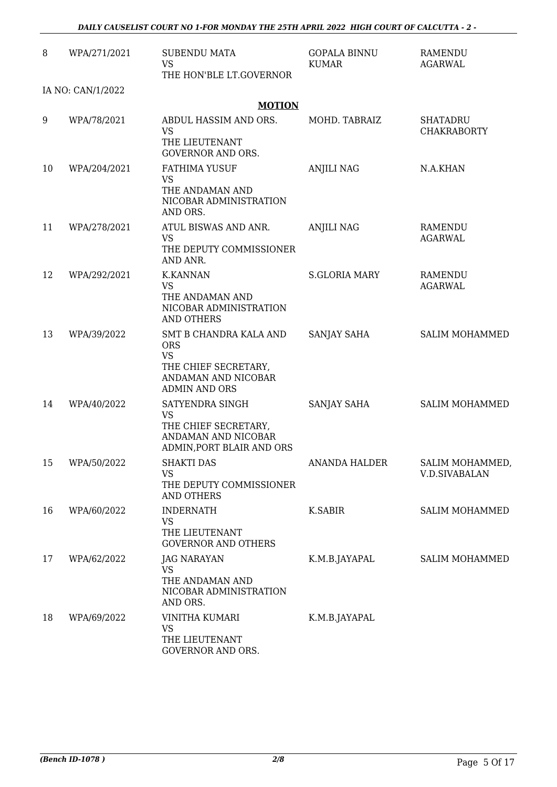| 8  | WPA/271/2021      | <b>SUBENDU MATA</b>                                                                                                      | <b>GOPALA BINNU</b>  | <b>RAMENDU</b>                          |
|----|-------------------|--------------------------------------------------------------------------------------------------------------------------|----------------------|-----------------------------------------|
|    |                   | <b>VS</b><br>THE HON'BLE LT.GOVERNOR                                                                                     | <b>KUMAR</b>         | AGARWAL                                 |
|    | IA NO: CAN/1/2022 |                                                                                                                          |                      |                                         |
|    |                   | <b>MOTION</b>                                                                                                            |                      |                                         |
| 9  | WPA/78/2021       | ABDUL HASSIM AND ORS.<br><b>VS</b><br>THE LIEUTENANT<br><b>GOVERNOR AND ORS.</b>                                         | MOHD. TABRAIZ        | <b>SHATADRU</b><br><b>CHAKRABORTY</b>   |
| 10 | WPA/204/2021      | <b>FATHIMA YUSUF</b><br><b>VS</b><br>THE ANDAMAN AND<br>NICOBAR ADMINISTRATION<br>AND ORS.                               | <b>ANJILI NAG</b>    | N.A.KHAN                                |
| 11 | WPA/278/2021      | ATUL BISWAS AND ANR.<br><b>VS</b><br>THE DEPUTY COMMISSIONER<br>AND ANR.                                                 | <b>ANJILI NAG</b>    | <b>RAMENDU</b><br>AGARWAL               |
| 12 | WPA/292/2021      | <b>K.KANNAN</b><br><b>VS</b><br>THE ANDAMAN AND<br>NICOBAR ADMINISTRATION<br><b>AND OTHERS</b>                           | <b>S.GLORIA MARY</b> | <b>RAMENDU</b><br>AGARWAL               |
| 13 | WPA/39/2022       | SMT B CHANDRA KALA AND<br><b>ORS</b><br><b>VS</b><br>THE CHIEF SECRETARY,<br>ANDAMAN AND NICOBAR<br><b>ADMIN AND ORS</b> | SANJAY SAHA          | SALIM MOHAMMED                          |
| 14 | WPA/40/2022       | SATYENDRA SINGH<br><b>VS</b><br>THE CHIEF SECRETARY,<br>ANDAMAN AND NICOBAR<br>ADMIN, PORT BLAIR AND ORS                 | SANJAY SAHA          | SALIM MOHAMMED                          |
| 15 | WPA/50/2022       | <b>SHAKTI DAS</b><br><b>VS</b><br>THE DEPUTY COMMISSIONER<br>AND OTHERS                                                  | <b>ANANDA HALDER</b> | SALIM MOHAMMED,<br><b>V.D.SIVABALAN</b> |
| 16 | WPA/60/2022       | <b>INDERNATH</b><br><b>VS</b><br>THE LIEUTENANT<br><b>GOVERNOR AND OTHERS</b>                                            | K.SABIR              | <b>SALIM MOHAMMED</b>                   |
| 17 | WPA/62/2022       | JAG NARAYAN<br><b>VS</b><br>THE ANDAMAN AND<br>NICOBAR ADMINISTRATION<br>AND ORS.                                        | K.M.B.JAYAPAL        | SALIM MOHAMMED                          |
| 18 | WPA/69/2022       | <b>VINITHA KUMARI</b><br><b>VS</b><br>THE LIEUTENANT<br>GOVERNOR AND ORS.                                                | K.M.B.JAYAPAL        |                                         |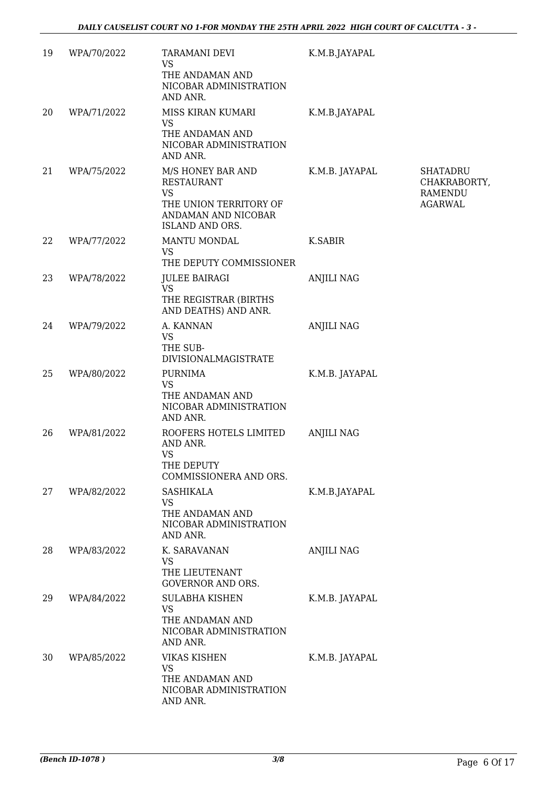| 19 | WPA/70/2022 | <b>TARAMANI DEVI</b><br><b>VS</b><br>THE ANDAMAN AND<br>NICOBAR ADMINISTRATION<br>AND ANR.                       | K.M.B.JAYAPAL     |                                                       |
|----|-------------|------------------------------------------------------------------------------------------------------------------|-------------------|-------------------------------------------------------|
| 20 | WPA/71/2022 | MISS KIRAN KUMARI<br><b>VS</b><br>THE ANDAMAN AND<br>NICOBAR ADMINISTRATION<br>AND ANR.                          | K.M.B.JAYAPAL     |                                                       |
| 21 | WPA/75/2022 | M/S HONEY BAR AND<br><b>RESTAURANT</b><br>VS<br>THE UNION TERRITORY OF<br>ANDAMAN AND NICOBAR<br>ISLAND AND ORS. | K.M.B. JAYAPAL    | SHATADRU<br>CHAKRABORTY,<br>RAMENDU<br><b>AGARWAL</b> |
| 22 | WPA/77/2022 | MANTU MONDAL<br><b>VS</b><br>THE DEPUTY COMMISSIONER                                                             | <b>K.SABIR</b>    |                                                       |
| 23 | WPA/78/2022 | <b>JULEE BAIRAGI</b><br><b>VS</b><br>THE REGISTRAR (BIRTHS<br>AND DEATHS) AND ANR.                               | <b>ANJILI NAG</b> |                                                       |
| 24 | WPA/79/2022 | A. KANNAN<br><b>VS</b><br>THE SUB-<br><b>DIVISIONALMAGISTRATE</b>                                                | <b>ANJILI NAG</b> |                                                       |
| 25 | WPA/80/2022 | <b>PURNIMA</b><br><b>VS</b><br>THE ANDAMAN AND<br>NICOBAR ADMINISTRATION<br>AND ANR.                             | K.M.B. JAYAPAL    |                                                       |
| 26 | WPA/81/2022 | ROOFERS HOTELS LIMITED<br>AND ANR.<br><b>VS</b><br>THE DEPUTY<br>COMMISSIONERA AND ORS.                          | <b>ANJILI NAG</b> |                                                       |
| 27 | WPA/82/2022 | <b>SASHIKALA</b><br>VS<br>THE ANDAMAN AND<br>NICOBAR ADMINISTRATION<br>AND ANR.                                  | K.M.B.JAYAPAL     |                                                       |
| 28 | WPA/83/2022 | K. SARAVANAN<br><b>VS</b><br>THE LIEUTENANT<br>GOVERNOR AND ORS.                                                 | <b>ANJILI NAG</b> |                                                       |
| 29 | WPA/84/2022 | SULABHA KISHEN<br>VS<br>THE ANDAMAN AND<br>NICOBAR ADMINISTRATION<br>AND ANR.                                    | K.M.B. JAYAPAL    |                                                       |
| 30 | WPA/85/2022 | <b>VIKAS KISHEN</b><br><b>VS</b><br>THE ANDAMAN AND<br>NICOBAR ADMINISTRATION<br>AND ANR.                        | K.M.B. JAYAPAL    |                                                       |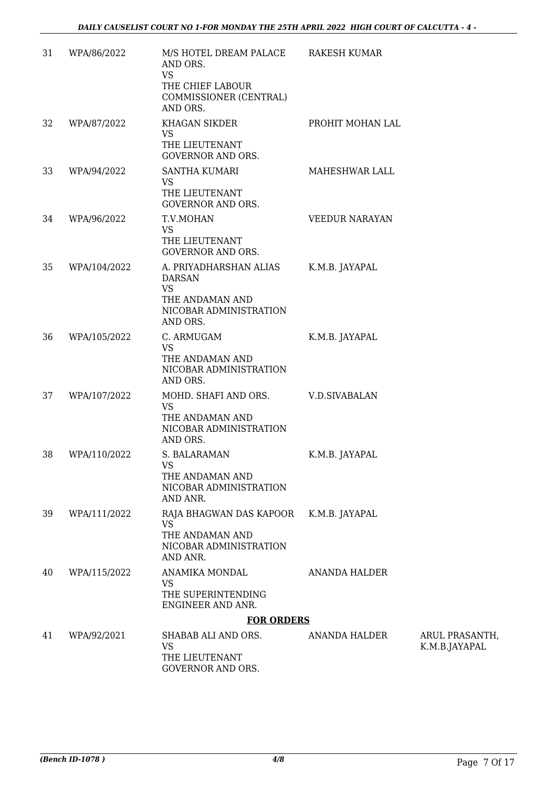| 31 | WPA/86/2022  | M/S HOTEL DREAM PALACE<br>AND ORS.<br><b>VS</b><br>THE CHIEF LABOUR<br>COMMISSIONER (CENTRAL)<br>AND ORS. | <b>RAKESH KUMAR</b>   |                                 |
|----|--------------|-----------------------------------------------------------------------------------------------------------|-----------------------|---------------------------------|
| 32 | WPA/87/2022  | KHAGAN SIKDER<br><b>VS</b><br>THE LIEUTENANT<br><b>GOVERNOR AND ORS.</b>                                  | PROHIT MOHAN LAL      |                                 |
| 33 | WPA/94/2022  | <b>SANTHA KUMARI</b><br>VS<br>THE LIEUTENANT<br><b>GOVERNOR AND ORS.</b>                                  | MAHESHWAR LALL        |                                 |
| 34 | WPA/96/2022  | T.V.MOHAN<br><b>VS</b><br>THE LIEUTENANT<br><b>GOVERNOR AND ORS.</b>                                      | <b>VEEDUR NARAYAN</b> |                                 |
| 35 | WPA/104/2022 | A. PRIYADHARSHAN ALIAS<br><b>DARSAN</b><br>VS<br>THE ANDAMAN AND<br>NICOBAR ADMINISTRATION<br>AND ORS.    | K.M.B. JAYAPAL        |                                 |
| 36 | WPA/105/2022 | C. ARMUGAM<br><b>VS</b><br>THE ANDAMAN AND<br>NICOBAR ADMINISTRATION<br>AND ORS.                          | K.M.B. JAYAPAL        |                                 |
| 37 | WPA/107/2022 | MOHD. SHAFI AND ORS.<br>VS<br>THE ANDAMAN AND<br>NICOBAR ADMINISTRATION<br>AND ORS.                       | V.D.SIVABALAN         |                                 |
| 38 | WPA/110/2022 | S. BALARAMAN<br><b>VS</b><br>THE ANDAMAN AND<br>NICOBAR ADMINISTRATION<br>AND ANR.                        | K.M.B. JAYAPAL        |                                 |
| 39 | WPA/111/2022 | RAJA BHAGWAN DAS KAPOOR<br>VS<br>THE ANDAMAN AND<br>NICOBAR ADMINISTRATION<br>AND ANR.                    | K.M.B. JAYAPAL        |                                 |
| 40 | WPA/115/2022 | ANAMIKA MONDAL<br><b>VS</b><br>THE SUPERINTENDING<br>ENGINEER AND ANR.                                    | <b>ANANDA HALDER</b>  |                                 |
|    |              | <b>FOR ORDERS</b>                                                                                         |                       |                                 |
| 41 | WPA/92/2021  | SHABAB ALI AND ORS.<br><b>VS</b><br>THE LIEUTENANT<br>GOVERNOR AND ORS.                                   | ANANDA HALDER         | ARUL PRASANTH,<br>K.M.B.JAYAPAL |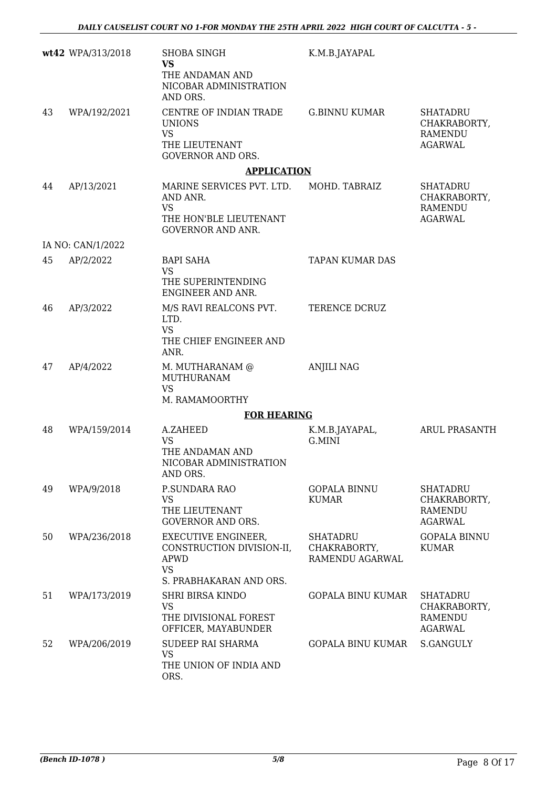|    | wt42 WPA/313/2018 | <b>SHOBA SINGH</b><br><b>VS</b><br>THE ANDAMAN AND<br>NICOBAR ADMINISTRATION<br>AND ORS.                 | K.M.B.JAYAPAL                               |                                                                     |
|----|-------------------|----------------------------------------------------------------------------------------------------------|---------------------------------------------|---------------------------------------------------------------------|
| 43 | WPA/192/2021      | CENTRE OF INDIAN TRADE<br><b>UNIONS</b><br><b>VS</b><br>THE LIEUTENANT<br><b>GOVERNOR AND ORS.</b>       | <b>G.BINNU KUMAR</b>                        | <b>SHATADRU</b><br>CHAKRABORTY,<br>RAMENDU<br><b>AGARWAL</b>        |
|    |                   | <b>APPLICATION</b>                                                                                       |                                             |                                                                     |
| 44 | AP/13/2021        | MARINE SERVICES PVT. LTD.<br>AND ANR.<br><b>VS</b><br>THE HON'BLE LIEUTENANT<br><b>GOVERNOR AND ANR.</b> | MOHD. TABRAIZ                               | <b>SHATADRU</b><br>CHAKRABORTY,<br><b>RAMENDU</b><br><b>AGARWAL</b> |
|    | IA NO: CAN/1/2022 |                                                                                                          |                                             |                                                                     |
| 45 | AP/2/2022         | <b>BAPI SAHA</b><br><b>VS</b><br>THE SUPERINTENDING<br>ENGINEER AND ANR.                                 | <b>TAPAN KUMAR DAS</b>                      |                                                                     |
| 46 | AP/3/2022         | M/S RAVI REALCONS PVT.<br>LTD.<br><b>VS</b><br>THE CHIEF ENGINEER AND<br>ANR.                            | TERENCE DCRUZ                               |                                                                     |
| 47 | AP/4/2022         | M. MUTHARANAM @<br><b>MUTHURANAM</b><br><b>VS</b>                                                        | <b>ANJILI NAG</b>                           |                                                                     |
|    |                   | M. RAMAMOORTHY                                                                                           |                                             |                                                                     |
|    |                   | <b>FOR HEARING</b>                                                                                       |                                             |                                                                     |
| 48 | WPA/159/2014      | A.ZAHEED<br><b>VS</b><br>THE ANDAMAN AND<br>NICOBAR ADMINISTRATION<br>AND ORS.                           | K.M.B.JAYAPAL,<br>G.MINI                    | <b>ARUL PRASANTH</b>                                                |
| 49 | WPA/9/2018        | P.SUNDARA RAO<br>VS<br>THE LIEUTENANT<br><b>GOVERNOR AND ORS.</b>                                        | <b>GOPALA BINNU</b><br>KUMAR                | <b>SHATADRU</b><br>CHAKRABORTY,<br><b>RAMENDU</b><br><b>AGARWAL</b> |
| 50 | WPA/236/2018      | EXECUTIVE ENGINEER,<br>CONSTRUCTION DIVISION-II,<br>APWD<br><b>VS</b><br>S. PRABHAKARAN AND ORS.         | SHATADRU<br>CHAKRABORTY,<br>RAMENDU AGARWAL | <b>GOPALA BINNU</b><br><b>KUMAR</b>                                 |
| 51 | WPA/173/2019      | <b>SHRI BIRSA KINDO</b><br>VS<br>THE DIVISIONAL FOREST<br>OFFICER, MAYABUNDER                            | GOPALA BINU KUMAR                           | <b>SHATADRU</b><br>CHAKRABORTY,<br>RAMENDU<br><b>AGARWAL</b>        |
| 52 | WPA/206/2019      | SUDEEP RAI SHARMA<br><b>VS</b><br>THE UNION OF INDIA AND<br>ORS.                                         | GOPALA BINU KUMAR                           | S.GANGULY                                                           |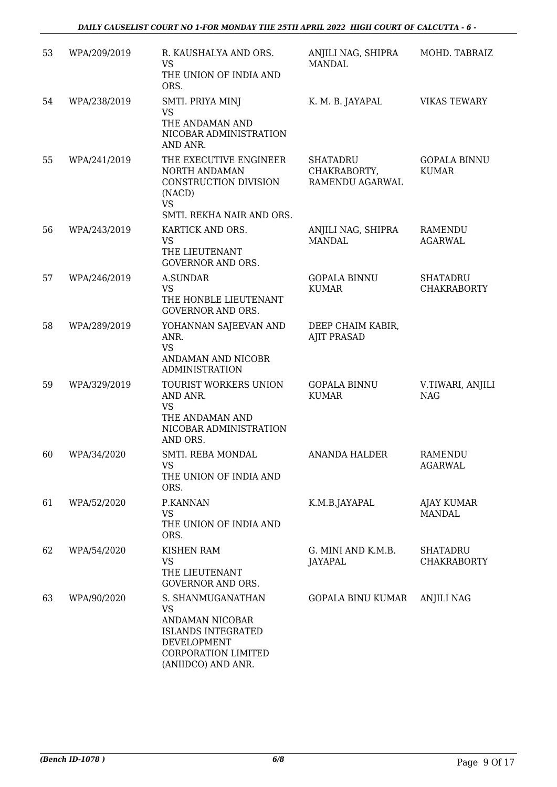| 53 | WPA/209/2019 | R. KAUSHALYA AND ORS.<br><b>VS</b><br>THE UNION OF INDIA AND<br>ORS.                                                                              | ANJILI NAG, SHIPRA<br><b>MANDAL</b>                | MOHD. TABRAIZ                         |
|----|--------------|---------------------------------------------------------------------------------------------------------------------------------------------------|----------------------------------------------------|---------------------------------------|
| 54 | WPA/238/2019 | SMTI. PRIYA MINJ<br>VS<br>THE ANDAMAN AND<br>NICOBAR ADMINISTRATION<br>AND ANR.                                                                   | K. M. B. JAYAPAL                                   | <b>VIKAS TEWARY</b>                   |
| 55 | WPA/241/2019 | THE EXECUTIVE ENGINEER<br>NORTH ANDAMAN<br>CONSTRUCTION DIVISION<br>(NACD)<br><b>VS</b><br>SMTI. REKHA NAIR AND ORS.                              | <b>SHATADRU</b><br>CHAKRABORTY,<br>RAMENDU AGARWAL | <b>GOPALA BINNU</b><br><b>KUMAR</b>   |
| 56 | WPA/243/2019 | KARTICK AND ORS.<br><b>VS</b><br>THE LIEUTENANT<br><b>GOVERNOR AND ORS.</b>                                                                       | ANJILI NAG, SHIPRA<br><b>MANDAL</b>                | <b>RAMENDU</b><br><b>AGARWAL</b>      |
| 57 | WPA/246/2019 | A.SUNDAR<br><b>VS</b><br>THE HONBLE LIEUTENANT<br><b>GOVERNOR AND ORS.</b>                                                                        | <b>GOPALA BINNU</b><br><b>KUMAR</b>                | <b>SHATADRU</b><br><b>CHAKRABORTY</b> |
| 58 | WPA/289/2019 | YOHANNAN SAJEEVAN AND<br>ANR.<br><b>VS</b><br>ANDAMAN AND NICOBR<br><b>ADMINISTRATION</b>                                                         | DEEP CHAIM KABIR,<br><b>AJIT PRASAD</b>            |                                       |
| 59 | WPA/329/2019 | TOURIST WORKERS UNION<br>AND ANR.<br><b>VS</b><br>THE ANDAMAN AND<br>NICOBAR ADMINISTRATION<br>AND ORS.                                           | <b>GOPALA BINNU</b><br><b>KUMAR</b>                | V.TIWARI, ANJILI<br><b>NAG</b>        |
| 60 | WPA/34/2020  | SMTI. REBA MONDAL<br>VS<br>THE UNION OF INDIA AND<br>ORS.                                                                                         | <b>ANANDA HALDER</b>                               | <b>RAMENDU</b><br>AGARWAL             |
| 61 | WPA/52/2020  | P.KANNAN<br><b>VS</b><br>THE UNION OF INDIA AND<br>ORS.                                                                                           | K.M.B.JAYAPAL                                      | <b>AJAY KUMAR</b><br><b>MANDAL</b>    |
| 62 | WPA/54/2020  | <b>KISHEN RAM</b><br><b>VS</b><br>THE LIEUTENANT<br><b>GOVERNOR AND ORS.</b>                                                                      | G. MINI AND K.M.B.<br><b>JAYAPAL</b>               | <b>SHATADRU</b><br><b>CHAKRABORTY</b> |
| 63 | WPA/90/2020  | S. SHANMUGANATHAN<br><b>VS</b><br>ANDAMAN NICOBAR<br><b>ISLANDS INTEGRATED</b><br>DEVELOPMENT<br><b>CORPORATION LIMITED</b><br>(ANIIDCO) AND ANR. | <b>GOPALA BINU KUMAR</b>                           | <b>ANJILI NAG</b>                     |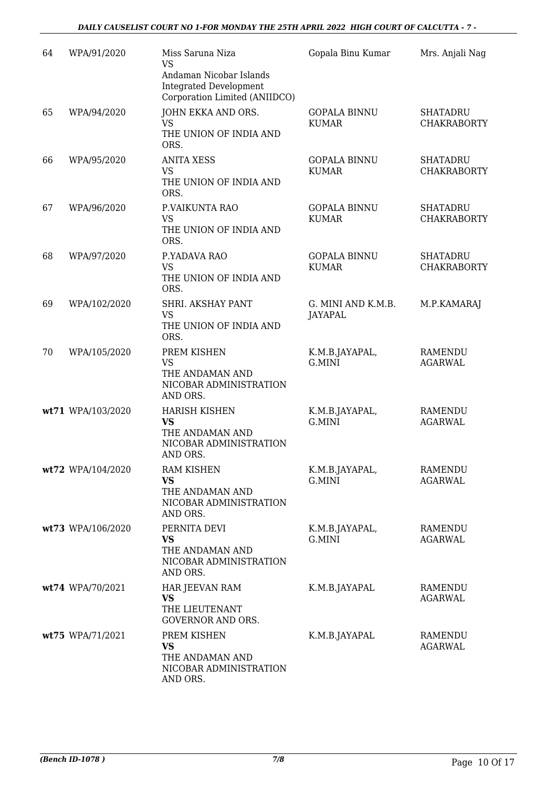| 64 | WPA/91/2020       | Miss Saruna Niza<br><b>VS</b><br>Andaman Nicobar Islands<br><b>Integrated Development</b>  | Gopala Binu Kumar                    | Mrs. Anjali Nag                       |
|----|-------------------|--------------------------------------------------------------------------------------------|--------------------------------------|---------------------------------------|
|    |                   | Corporation Limited (ANIIDCO)                                                              |                                      |                                       |
| 65 | WPA/94/2020       | JOHN EKKA AND ORS.<br><b>VS</b>                                                            | <b>GOPALA BINNU</b><br><b>KUMAR</b>  | <b>SHATADRU</b><br><b>CHAKRABORTY</b> |
|    |                   | THE UNION OF INDIA AND<br>ORS.                                                             |                                      |                                       |
| 66 | WPA/95/2020       | <b>ANITA XESS</b><br><b>VS</b><br>THE UNION OF INDIA AND<br>ORS.                           | <b>GOPALA BINNU</b><br><b>KUMAR</b>  | <b>SHATADRU</b><br><b>CHAKRABORTY</b> |
| 67 | WPA/96/2020       | P.VAIKUNTA RAO<br><b>VS</b><br>THE UNION OF INDIA AND<br>ORS.                              | <b>GOPALA BINNU</b><br><b>KUMAR</b>  | <b>SHATADRU</b><br><b>CHAKRABORTY</b> |
| 68 | WPA/97/2020       | P.YADAVA RAO<br><b>VS</b><br>THE UNION OF INDIA AND<br>ORS.                                | <b>GOPALA BINNU</b><br><b>KUMAR</b>  | <b>SHATADRU</b><br><b>CHAKRABORTY</b> |
| 69 | WPA/102/2020      | SHRI. AKSHAY PANT<br><b>VS</b><br>THE UNION OF INDIA AND<br>ORS.                           | G. MINI AND K.M.B.<br><b>JAYAPAL</b> | M.P.KAMARAJ                           |
| 70 | WPA/105/2020      | PREM KISHEN<br>VS<br>THE ANDAMAN AND<br>NICOBAR ADMINISTRATION<br>AND ORS.                 | K.M.B.JAYAPAL,<br>G.MINI             | <b>RAMENDU</b><br><b>AGARWAL</b>      |
|    | wt71 WPA/103/2020 | <b>HARISH KISHEN</b><br><b>VS</b><br>THE ANDAMAN AND<br>NICOBAR ADMINISTRATION<br>AND ORS. | K.M.B.JAYAPAL,<br>G.MINI             | RAMENDU<br><b>AGARWAL</b>             |
|    | wt72 WPA/104/2020 | <b>RAM KISHEN</b><br>VS<br>THE ANDAMAN AND<br>NICOBAR ADMINISTRATION<br>AND ORS.           | K.M.B.JAYAPAL,<br>G.MINI             | <b>RAMENDU</b><br>AGARWAL             |
|    | wt73 WPA/106/2020 | PERNITA DEVI<br><b>VS</b><br>THE ANDAMAN AND<br>NICOBAR ADMINISTRATION<br>AND ORS.         | K.M.B.JAYAPAL,<br>G.MINI             | RAMENDU<br><b>AGARWAL</b>             |
|    | wt74 WPA/70/2021  | HAR JEEVAN RAM<br><b>VS</b><br>THE LIEUTENANT<br><b>GOVERNOR AND ORS.</b>                  | K.M.B.JAYAPAL                        | RAMENDU<br><b>AGARWAL</b>             |
|    | wt75 WPA/71/2021  | PREM KISHEN<br><b>VS</b><br>THE ANDAMAN AND<br>NICOBAR ADMINISTRATION<br>AND ORS.          | K.M.B.JAYAPAL                        | RAMENDU<br><b>AGARWAL</b>             |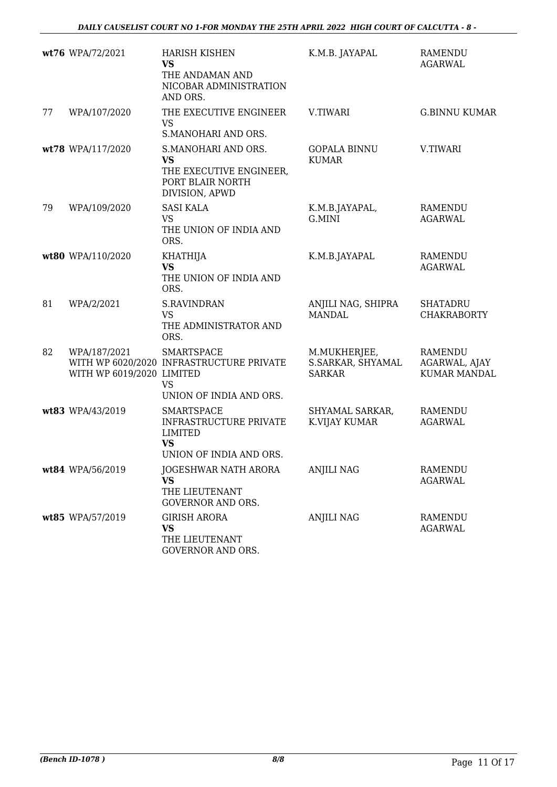|    | wt76 WPA/72/2021                          | <b>HARISH KISHEN</b><br><b>VS</b><br>THE ANDAMAN AND<br>NICOBAR ADMINISTRATION<br>AND ORS.                   | K.M.B. JAYAPAL                                     | <b>RAMENDU</b><br><b>AGARWAL</b>                |
|----|-------------------------------------------|--------------------------------------------------------------------------------------------------------------|----------------------------------------------------|-------------------------------------------------|
| 77 | WPA/107/2020                              | THE EXECUTIVE ENGINEER<br><b>VS</b><br>S.MANOHARI AND ORS.                                                   | V.TIWARI                                           | <b>G.BINNU KUMAR</b>                            |
|    | wt78 WPA/117/2020                         | S.MANOHARI AND ORS.<br><b>VS</b><br>THE EXECUTIVE ENGINEER,<br>PORT BLAIR NORTH<br>DIVISION, APWD            | <b>GOPALA BINNU</b><br><b>KUMAR</b>                | V.TIWARI                                        |
| 79 | WPA/109/2020                              | <b>SASI KALA</b><br><b>VS</b><br>THE UNION OF INDIA AND<br>ORS.                                              | K.M.B.JAYAPAL,<br>G.MINI                           | <b>RAMENDU</b><br><b>AGARWAL</b>                |
|    | wt80 WPA/110/2020                         | <b>KHATHIJA</b><br><b>VS</b><br>THE UNION OF INDIA AND<br>ORS.                                               | K.M.B.JAYAPAL                                      | <b>RAMENDU</b><br><b>AGARWAL</b>                |
| 81 | WPA/2/2021                                | <b>S.RAVINDRAN</b><br><b>VS</b><br>THE ADMINISTRATOR AND<br>ORS.                                             | ANJILI NAG, SHIPRA<br><b>MANDAL</b>                | <b>SHATADRU</b><br><b>CHAKRABORTY</b>           |
| 82 | WPA/187/2021<br>WITH WP 6019/2020 LIMITED | <b>SMARTSPACE</b><br>WITH WP 6020/2020 INFRASTRUCTURE PRIVATE<br>VS<br>UNION OF INDIA AND ORS.               | M.MUKHERJEE,<br>S.SARKAR, SHYAMAL<br><b>SARKAR</b> | RAMENDU<br>AGARWAL, AJAY<br><b>KUMAR MANDAL</b> |
|    | wt83 WPA/43/2019                          | <b>SMARTSPACE</b><br><b>INFRASTRUCTURE PRIVATE</b><br><b>LIMITED</b><br><b>VS</b><br>UNION OF INDIA AND ORS. | SHYAMAL SARKAR,<br>K.VIJAY KUMAR                   | RAMENDU<br><b>AGARWAL</b>                       |
|    | wt84 WPA/56/2019                          | JOGESHWAR NATH ARORA<br>VS<br>THE LIEUTENANT<br><b>GOVERNOR AND ORS.</b>                                     | <b>ANJILI NAG</b>                                  | <b>RAMENDU</b><br><b>AGARWAL</b>                |
|    | wt85 WPA/57/2019                          | <b>GIRISH ARORA</b><br><b>VS</b><br>THE LIEUTENANT<br>GOVERNOR AND ORS.                                      | <b>ANJILI NAG</b>                                  | <b>RAMENDU</b><br><b>AGARWAL</b>                |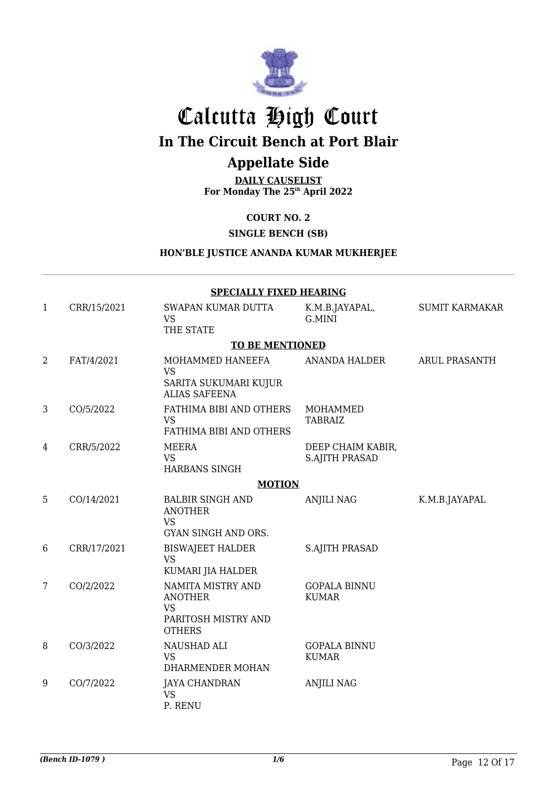

# Calcutta High Court

**In The Circuit Bench at Port Blair**

## **Appellate Side**

**DAILY CAUSELIST For Monday The 25th April 2022**

**COURT NO. 2**

**SINGLE BENCH (SB)**

### **HON'BLE JUSTICE ANANDA KUMAR MUKHERJEE**

|                | <b>SPECIALLY FIXED HEARING</b> |                                                                                          |                                            |                       |  |  |
|----------------|--------------------------------|------------------------------------------------------------------------------------------|--------------------------------------------|-----------------------|--|--|
| 1              | CRR/15/2021                    | SWAPAN KUMAR DUTTA<br><b>VS</b><br>THE STATE                                             | K.M.B.JAYAPAL,<br>G.MINI                   | <b>SUMIT KARMAKAR</b> |  |  |
|                |                                | <b>TO BE MENTIONED</b>                                                                   |                                            |                       |  |  |
| $\overline{2}$ | FAT/4/2021                     | MOHAMMED HANEEFA<br><b>VS</b><br>SARITA SUKUMARI KUJUR<br><b>ALIAS SAFEENA</b>           | ANANDA HALDER                              | <b>ARUL PRASANTH</b>  |  |  |
| 3              | CO/5/2022                      | FATHIMA BIBI AND OTHERS<br><b>VS</b><br>FATHIMA BIBI AND OTHERS                          | MOHAMMED<br><b>TABRAIZ</b>                 |                       |  |  |
| 4              | CRR/5/2022                     | <b>MEERA</b><br><b>VS</b><br><b>HARBANS SINGH</b>                                        | DEEP CHAIM KABIR,<br><b>S.AJITH PRASAD</b> |                       |  |  |
|                |                                | <b>MOTION</b>                                                                            |                                            |                       |  |  |
| 5              | CO/14/2021                     | <b>BALBIR SINGH AND</b><br><b>ANOTHER</b><br><b>VS</b><br><b>GYAN SINGH AND ORS.</b>     | <b>ANJILI NAG</b>                          | K.M.B.JAYAPAL         |  |  |
| 6              | CRR/17/2021                    | <b>BISWAJEET HALDER</b><br><b>VS</b><br>KUMARI JIA HALDER                                | <b>S.AJITH PRASAD</b>                      |                       |  |  |
| 7              | CO/2/2022                      | NAMITA MISTRY AND<br><b>ANOTHER</b><br><b>VS</b><br>PARITOSH MISTRY AND<br><b>OTHERS</b> | <b>GOPALA BINNU</b><br><b>KUMAR</b>        |                       |  |  |
| 8              | CO/3/2022                      | NAUSHAD ALI<br><b>VS</b><br>DHARMENDER MOHAN                                             | <b>GOPALA BINNU</b><br><b>KUMAR</b>        |                       |  |  |
| 9              | CO/7/2022                      | <b>JAYA CHANDRAN</b><br><b>VS</b><br>P. RENU                                             | <b>ANJILI NAG</b>                          |                       |  |  |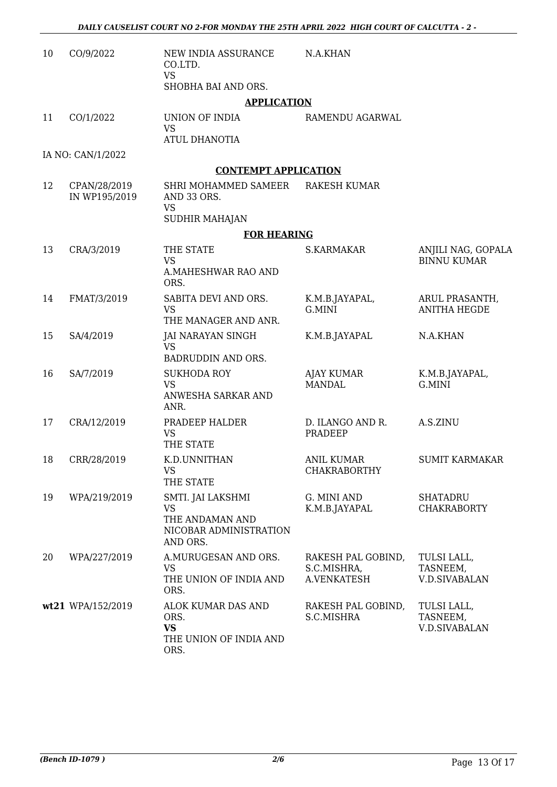| 10 | CO/9/2022                     | NEW INDIA ASSURANCE<br>CO.LTD.<br><b>VS</b><br>SHOBHA BAI AND ORS.                      | N.A.KHAN                                         |                                                 |
|----|-------------------------------|-----------------------------------------------------------------------------------------|--------------------------------------------------|-------------------------------------------------|
|    |                               | <b>APPLICATION</b>                                                                      |                                                  |                                                 |
| 11 | CO/1/2022                     | UNION OF INDIA<br><b>VS</b><br><b>ATUL DHANOTIA</b>                                     | RAMENDU AGARWAL                                  |                                                 |
|    | IA NO: CAN/1/2022             |                                                                                         |                                                  |                                                 |
|    |                               | <b>CONTEMPT APPLICATION</b>                                                             |                                                  |                                                 |
| 12 | CPAN/28/2019<br>IN WP195/2019 | SHRI MOHAMMED SAMEER<br>AND 33 ORS.<br><b>VS</b><br>SUDHIR MAHAJAN                      | <b>RAKESH KUMAR</b>                              |                                                 |
|    |                               | <b>FOR HEARING</b>                                                                      |                                                  |                                                 |
| 13 | CRA/3/2019                    | THE STATE<br><b>VS</b><br><b>A.MAHESHWAR RAO AND</b>                                    | <b>S.KARMAKAR</b>                                | ANJILI NAG, GOPALA<br><b>BINNU KUMAR</b>        |
| 14 | FMAT/3/2019                   | ORS.<br>SABITA DEVI AND ORS.<br><b>VS</b><br>THE MANAGER AND ANR.                       | K.M.B.JAYAPAL,<br>G.MINI                         | ARUL PRASANTH,<br><b>ANITHA HEGDE</b>           |
| 15 | SA/4/2019                     | JAI NARAYAN SINGH<br><b>VS</b><br>BADRUDDIN AND ORS.                                    | K.M.B.JAYAPAL                                    | N.A.KHAN                                        |
| 16 | SA/7/2019                     | <b>SUKHODA ROY</b><br><b>VS</b><br>ANWESHA SARKAR AND<br>ANR.                           | <b>AJAY KUMAR</b><br><b>MANDAL</b>               | K.M.B.JAYAPAL,<br>G.MINI                        |
| 17 | CRA/12/2019                   | PRADEEP HALDER<br><b>VS</b><br>THE STATE                                                | D. ILANGO AND R.<br>PRADEEP                      | A.S.ZINU                                        |
| 18 | CRR/28/2019                   | K.D.UNNITHAN<br><b>VS</b><br>THE STATE                                                  | <b>ANIL KUMAR</b><br><b>CHAKRABORTHY</b>         | <b>SUMIT KARMAKAR</b>                           |
| 19 | WPA/219/2019                  | SMTI. JAI LAKSHMI<br><b>VS</b><br>THE ANDAMAN AND<br>NICOBAR ADMINISTRATION<br>AND ORS. | G. MINI AND<br>K.M.B.JAYAPAL                     | <b>SHATADRU</b><br><b>CHAKRABORTY</b>           |
| 20 | WPA/227/2019                  | A.MURUGESAN AND ORS.<br><b>VS</b><br>THE UNION OF INDIA AND<br>ORS.                     | RAKESH PAL GOBIND,<br>S.C.MISHRA,<br>A.VENKATESH | TULSI LALL,<br>TASNEEM,<br>V.D.SIVABALAN        |
|    | wt21 WPA/152/2019             | ALOK KUMAR DAS AND<br>ORS.<br><b>VS</b><br>THE UNION OF INDIA AND<br>ORS.               | RAKESH PAL GOBIND,<br>S.C.MISHRA                 | TULSI LALL,<br>TASNEEM,<br><b>V.D.SIVABALAN</b> |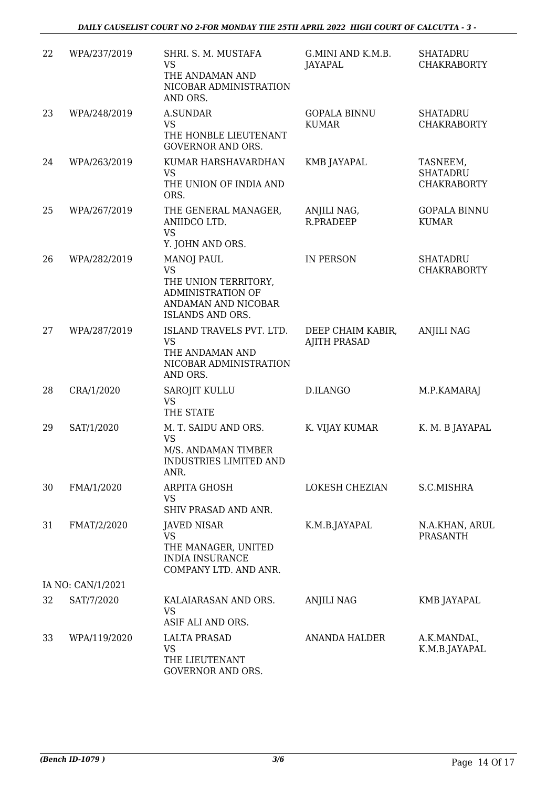| 22 | WPA/237/2019      | SHRI. S. M. MUSTAFA<br><b>VS</b><br>THE ANDAMAN AND<br>NICOBAR ADMINISTRATION<br>AND ORS.                                            | G.MINI AND K.M.B.<br>JAYAPAL             | <b>SHATADRU</b><br><b>CHAKRABORTY</b>             |
|----|-------------------|--------------------------------------------------------------------------------------------------------------------------------------|------------------------------------------|---------------------------------------------------|
| 23 | WPA/248/2019      | <b>A.SUNDAR</b><br><b>VS</b><br>THE HONBLE LIEUTENANT<br><b>GOVERNOR AND ORS.</b>                                                    | <b>GOPALA BINNU</b><br><b>KUMAR</b>      | <b>SHATADRU</b><br><b>CHAKRABORTY</b>             |
| 24 | WPA/263/2019      | KUMAR HARSHAVARDHAN<br><b>VS</b><br>THE UNION OF INDIA AND<br>ORS.                                                                   | <b>KMB JAYAPAL</b>                       | TASNEEM,<br><b>SHATADRU</b><br><b>CHAKRABORTY</b> |
| 25 | WPA/267/2019      | THE GENERAL MANAGER,<br>ANIIDCO LTD.<br><b>VS</b><br>Y. JOHN AND ORS.                                                                | ANJILI NAG,<br>R.PRADEEP                 | <b>GOPALA BINNU</b><br><b>KUMAR</b>               |
| 26 | WPA/282/2019      | <b>MANOJ PAUL</b><br><b>VS</b><br>THE UNION TERRITORY,<br><b>ADMINISTRATION OF</b><br>ANDAMAN AND NICOBAR<br><b>ISLANDS AND ORS.</b> | <b>IN PERSON</b>                         | <b>SHATADRU</b><br><b>CHAKRABORTY</b>             |
| 27 | WPA/287/2019      | ISLAND TRAVELS PVT. LTD.<br><b>VS</b><br>THE ANDAMAN AND<br>NICOBAR ADMINISTRATION<br>AND ORS.                                       | DEEP CHAIM KABIR,<br><b>AJITH PRASAD</b> | <b>ANJILI NAG</b>                                 |
| 28 | CRA/1/2020        | SAROJIT KULLU<br><b>VS</b><br>THE STATE                                                                                              | D.ILANGO                                 | M.P.KAMARAJ                                       |
| 29 | SAT/1/2020        | M. T. SAIDU AND ORS.<br><b>VS</b><br>M/S. ANDAMAN TIMBER<br>INDUSTRIES LIMITED AND<br>ANR.                                           | K. VIJAY KUMAR                           | K. M. B JAYAPAL                                   |
| 30 | FMA/1/2020        | ARPITA GHOSH<br><b>VS</b><br>SHIV PRASAD AND ANR.                                                                                    | LOKESH CHEZIAN                           | S.C.MISHRA                                        |
| 31 | FMAT/2/2020       | <b>JAVED NISAR</b><br><b>VS</b><br>THE MANAGER, UNITED<br><b>INDIA INSURANCE</b><br>COMPANY LTD. AND ANR.                            | K.M.B.JAYAPAL                            | N.A.KHAN, ARUL<br><b>PRASANTH</b>                 |
|    | IA NO: CAN/1/2021 |                                                                                                                                      |                                          |                                                   |
| 32 | SAT/7/2020        | KALAIARASAN AND ORS.<br>VS<br>ASIF ALI AND ORS.                                                                                      | <b>ANJILI NAG</b>                        | KMB JAYAPAL                                       |
| 33 | WPA/119/2020      | <b>LALTA PRASAD</b><br><b>VS</b><br>THE LIEUTENANT<br>GOVERNOR AND ORS.                                                              | <b>ANANDA HALDER</b>                     | A.K.MANDAL,<br>K.M.B.JAYAPAL                      |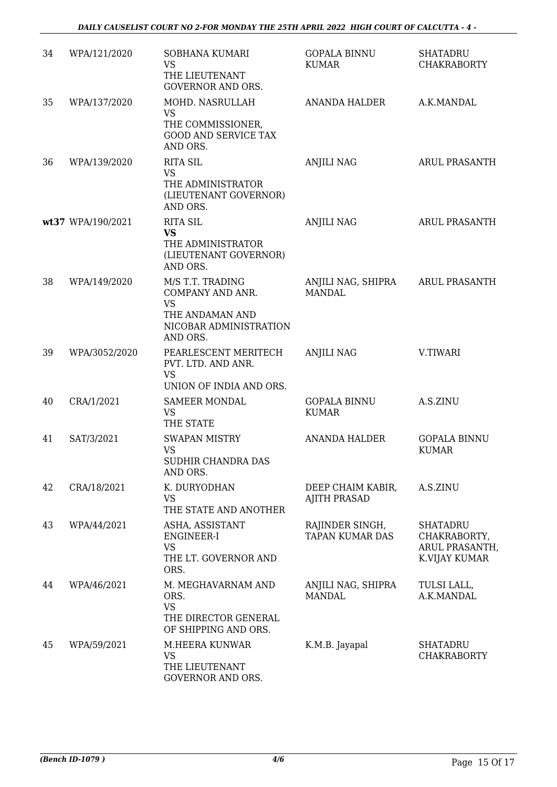| 34 | WPA/121/2020      | SOBHANA KUMARI<br><b>VS</b><br>THE LIEUTENANT<br><b>GOVERNOR AND ORS.</b>                                  | <b>GOPALA BINNU</b><br><b>KUMAR</b>       | <b>SHATADRU</b><br><b>CHAKRABORTY</b>                              |
|----|-------------------|------------------------------------------------------------------------------------------------------------|-------------------------------------------|--------------------------------------------------------------------|
| 35 | WPA/137/2020      | MOHD. NASRULLAH<br><b>VS</b><br>THE COMMISSIONER,<br><b>GOOD AND SERVICE TAX</b><br>AND ORS.               | ANANDA HALDER                             | A.K.MANDAL                                                         |
| 36 | WPA/139/2020      | <b>RITA SIL</b><br><b>VS</b><br>THE ADMINISTRATOR<br>(LIEUTENANT GOVERNOR)<br>AND ORS.                     | <b>ANJILI NAG</b>                         | <b>ARUL PRASANTH</b>                                               |
|    | wt37 WPA/190/2021 | <b>RITA SIL</b><br><b>VS</b><br>THE ADMINISTRATOR<br>(LIEUTENANT GOVERNOR)<br>AND ORS.                     | <b>ANJILI NAG</b>                         | <b>ARUL PRASANTH</b>                                               |
| 38 | WPA/149/2020      | M/S T.T. TRADING<br>COMPANY AND ANR.<br><b>VS</b><br>THE ANDAMAN AND<br>NICOBAR ADMINISTRATION<br>AND ORS. | ANJILI NAG, SHIPRA<br><b>MANDAL</b>       | <b>ARUL PRASANTH</b>                                               |
| 39 | WPA/3052/2020     | PEARLESCENT MERITECH<br>PVT. LTD. AND ANR.<br><b>VS</b><br>UNION OF INDIA AND ORS.                         | <b>ANJILI NAG</b>                         | V.TIWARI                                                           |
| 40 | CRA/1/2021        | <b>SAMEER MONDAL</b><br><b>VS</b><br>THE STATE                                                             | <b>GOPALA BINNU</b><br><b>KUMAR</b>       | A.S.ZINU                                                           |
| 41 | SAT/3/2021        | <b>SWAPAN MISTRY</b><br><b>VS</b><br>SUDHIR CHANDRA DAS<br>AND ORS.                                        | <b>ANANDA HALDER</b>                      | <b>GOPALA BINNU</b><br><b>KUMAR</b>                                |
| 42 | CRA/18/2021       | K. DURYODHAN<br><b>VS</b><br>THE STATE AND ANOTHER                                                         | DEEP CHAIM KABIR,<br><b>AJITH PRASAD</b>  | A.S.ZINU                                                           |
| 43 | WPA/44/2021       | ASHA, ASSISTANT<br>ENGINEER-I<br><b>VS</b><br>THE LT. GOVERNOR AND<br>ORS.                                 | RAJINDER SINGH,<br><b>TAPAN KUMAR DAS</b> | <b>SHATADRU</b><br>CHAKRABORTY,<br>ARUL PRASANTH,<br>K.VIJAY KUMAR |
| 44 | WPA/46/2021       | M. MEGHAVARNAM AND<br>ORS.<br><b>VS</b><br>THE DIRECTOR GENERAL<br>OF SHIPPING AND ORS.                    | ANJILI NAG, SHIPRA<br><b>MANDAL</b>       | TULSI LALL,<br>A.K.MANDAL                                          |
| 45 | WPA/59/2021       | M.HEERA KUNWAR<br><b>VS</b><br>THE LIEUTENANT<br>GOVERNOR AND ORS.                                         | K.M.B. Jayapal                            | <b>SHATADRU</b><br><b>CHAKRABORTY</b>                              |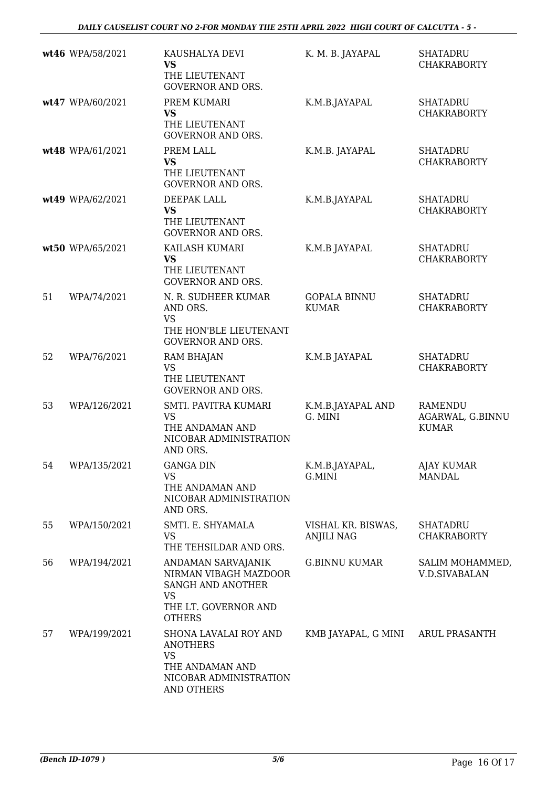|    | wt46 WPA/58/2021 | KAUSHALYA DEVI<br><b>VS</b><br>THE LIEUTENANT<br><b>GOVERNOR AND ORS.</b>                                              | K. M. B. JAYAPAL                        | <b>SHATADRU</b><br><b>CHAKRABORTY</b>              |
|----|------------------|------------------------------------------------------------------------------------------------------------------------|-----------------------------------------|----------------------------------------------------|
|    | wt47 WPA/60/2021 | PREM KUMARI<br><b>VS</b><br>THE LIEUTENANT<br><b>GOVERNOR AND ORS.</b>                                                 | K.M.B.JAYAPAL                           | <b>SHATADRU</b><br><b>CHAKRABORTY</b>              |
|    | wt48 WPA/61/2021 | PREM LALL<br><b>VS</b><br>THE LIEUTENANT<br><b>GOVERNOR AND ORS.</b>                                                   | K.M.B. JAYAPAL                          | <b>SHATADRU</b><br><b>CHAKRABORTY</b>              |
|    | wt49 WPA/62/2021 | DEEPAK LALL<br><b>VS</b><br>THE LIEUTENANT<br><b>GOVERNOR AND ORS.</b>                                                 | K.M.B.JAYAPAL                           | <b>SHATADRU</b><br><b>CHAKRABORTY</b>              |
|    | wt50 WPA/65/2021 | KAILASH KUMARI<br><b>VS</b><br>THE LIEUTENANT<br><b>GOVERNOR AND ORS.</b>                                              | K.M.B JAYAPAL                           | <b>SHATADRU</b><br><b>CHAKRABORTY</b>              |
| 51 | WPA/74/2021      | N. R. SUDHEER KUMAR<br>AND ORS.<br><b>VS</b><br>THE HON'BLE LIEUTENANT<br><b>GOVERNOR AND ORS.</b>                     | <b>GOPALA BINNU</b><br><b>KUMAR</b>     | <b>SHATADRU</b><br><b>CHAKRABORTY</b>              |
| 52 | WPA/76/2021      | <b>RAM BHAJAN</b><br><b>VS</b><br>THE LIEUTENANT<br><b>GOVERNOR AND ORS.</b>                                           | K.M.B JAYAPAL                           | <b>SHATADRU</b><br><b>CHAKRABORTY</b>              |
| 53 | WPA/126/2021     | SMTI. PAVITRA KUMARI<br><b>VS</b><br>THE ANDAMAN AND<br>NICOBAR ADMINISTRATION<br>AND ORS.                             | K.M.B.JAYAPAL AND<br>G. MINI            | <b>RAMENDU</b><br>AGARWAL, G.BINNU<br><b>KUMAR</b> |
| 54 | WPA/135/2021     | <b>GANGA DIN</b><br><b>VS</b><br>THE ANDAMAN AND<br>NICOBAR ADMINISTRATION<br>AND ORS.                                 | K.M.B.JAYAPAL,<br>G.MINI                | AJAY KUMAR<br><b>MANDAL</b>                        |
| 55 | WPA/150/2021     | SMTI. E. SHYAMALA<br><b>VS</b><br>THE TEHSILDAR AND ORS.                                                               | VISHAL KR. BISWAS,<br><b>ANJILI NAG</b> | <b>SHATADRU</b><br><b>CHAKRABORTY</b>              |
| 56 | WPA/194/2021     | ANDAMAN SARVAJANIK<br>NIRMAN VIBAGH MAZDOOR<br><b>SANGH AND ANOTHER</b><br>VS<br>THE LT. GOVERNOR AND<br><b>OTHERS</b> | <b>G.BINNU KUMAR</b>                    | SALIM MOHAMMED,<br><b>V.D.SIVABALAN</b>            |
| 57 | WPA/199/2021     | SHONA LAVALAI ROY AND<br><b>ANOTHERS</b><br><b>VS</b><br>THE ANDAMAN AND<br>NICOBAR ADMINISTRATION<br>AND OTHERS       | KMB JAYAPAL, G MINI                     | ARUL PRASANTH                                      |